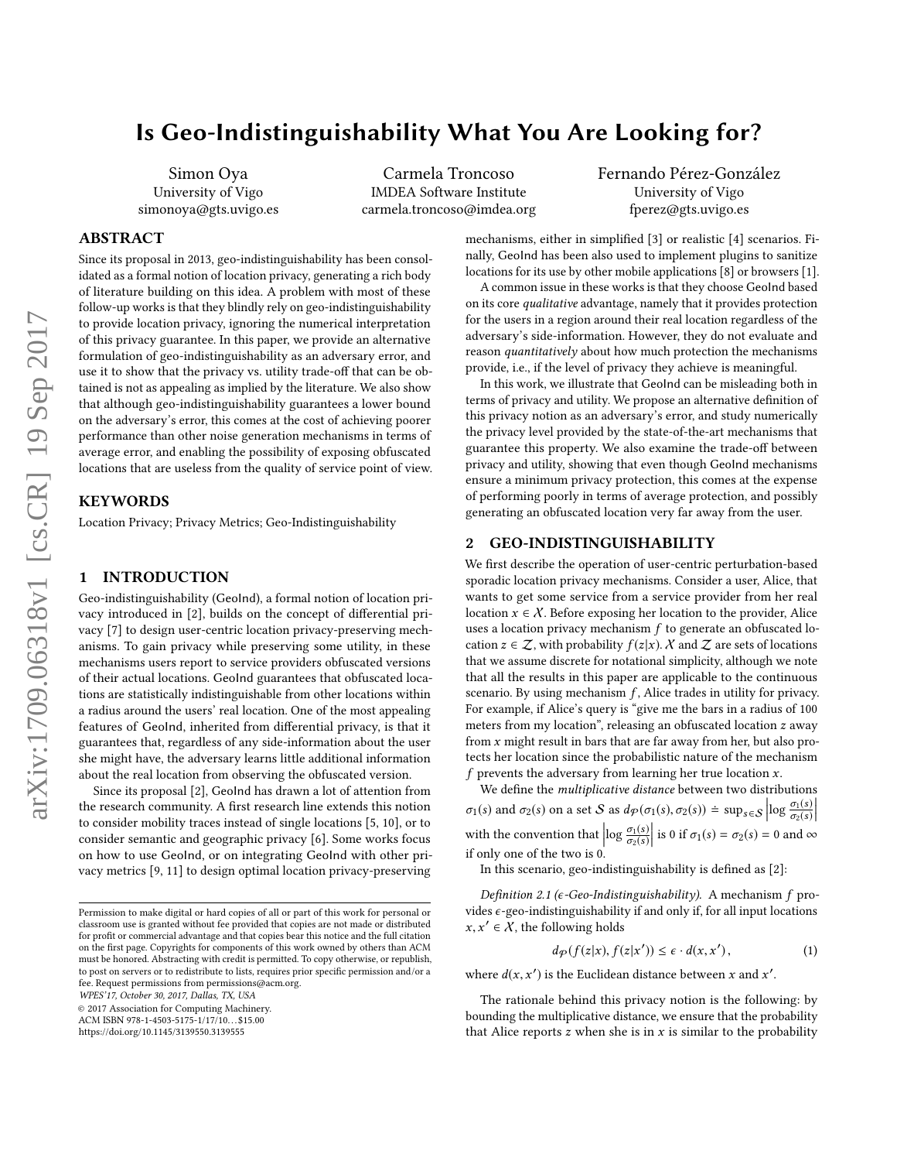# Is Geo-Indistinguishability What You Are Looking for?

Simon Oya University of Vigo simonoya@gts.uvigo.es

Carmela Troncoso IMDEA Software Institute carmela.troncoso@imdea.org Fernando Pérez-González University of Vigo fperez@gts.uvigo.es

# ABSTRACT

Since its proposal in 2013, geo-indistinguishability has been consolidated as a formal notion of location privacy, generating a rich body of literature building on this idea. A problem with most of these follow-up works is that they blindly rely on geo-indistinguishability to provide location privacy, ignoring the numerical interpretation of this privacy guarantee. In this paper, we provide an alternative formulation of geo-indistinguishability as an adversary error, and use it to show that the privacy vs. utility trade-off that can be obtained is not as appealing as implied by the literature. We also show that although geo-indistinguishability guarantees a lower bound on the adversary's error, this comes at the cost of achieving poorer performance than other noise generation mechanisms in terms of average error, and enabling the possibility of exposing obfuscated locations that are useless from the quality of service point of view.

# KEYWORDS

Location Privacy; Privacy Metrics; Geo-Indistinguishability

#### 1 INTRODUCTION

Geo-indistinguishability (GeoInd), a formal notion of location privacy introduced in [\[2\]](#page-3-0), builds on the concept of differential privacy [\[7\]](#page-3-1) to design user-centric location privacy-preserving mechanisms. To gain privacy while preserving some utility, in these mechanisms users report to service providers obfuscated versions of their actual locations. GeoInd guarantees that obfuscated locations are statistically indistinguishable from other locations within a radius around the users' real location. One of the most appealing features of GeoInd, inherited from differential privacy, is that it guarantees that, regardless of any side-information about the user she might have, the adversary learns little additional information about the real location from observing the obfuscated version.

Since its proposal [\[2\]](#page-3-0), GeoInd has drawn a lot of attention from the research community. A first research line extends this notion to consider mobility traces instead of single locations [\[5,](#page-3-2) [10\]](#page-3-3), or to consider semantic and geographic privacy [\[6\]](#page-3-4). Some works focus on how to use GeoInd, or on integrating GeoInd with other privacy metrics [\[9,](#page-3-5) [11\]](#page-3-6) to design optimal location privacy-preserving

WPES'17, October 30, 2017, Dallas, TX, USA

© 2017 Association for Computing Machinery.

ACM ISBN 978-1-4503-5175-1/17/10. . . \$15.00

<https://doi.org/10.1145/3139550.3139555>

mechanisms, either in simplified [\[3\]](#page-3-7) or realistic [\[4\]](#page-3-8) scenarios. Finally, GeoInd has been also used to implement plugins to sanitize locations for its use by other mobile applications [\[8\]](#page-3-9) or browsers [\[1\]](#page-3-10).

A common issue in these works is that they choose GeoInd based on its core qualitative advantage, namely that it provides protection for the users in a region around their real location regardless of the adversary's side-information. However, they do not evaluate and reason quantitatively about how much protection the mechanisms provide, i.e., if the level of privacy they achieve is meaningful.

In this work, we illustrate that GeoInd can be misleading both in terms of privacy and utility. We propose an alternative definition of this privacy notion as an adversary's error, and study numerically the privacy level provided by the state-of-the-art mechanisms that guarantee this property. We also examine the trade-off between privacy and utility, showing that even though GeoInd mechanisms ensure a minimum privacy protection, this comes at the expense of performing poorly in terms of average protection, and possibly generating an obfuscated location very far away from the user.

## 2 GEO-INDISTINGUISHABILITY

We first describe the operation of user-centric perturbation-based sporadic location privacy mechanisms. Consider a user, Alice, that wants to get some service from a service provider from her real location  $x \in \mathcal{X}$ . Before exposing her location to the provider, Alice uses a location privacy mechanism  $f$  to generate an obfuscated location  $z \in \mathcal{Z}$ , with probability  $f(z|x)$ . X and  $\mathcal Z$  are sets of locations that we assume discrete for notational simplicity, although we note that all the results in this paper are applicable to the continuous scenario. By using mechanism  $f$ , Alice trades in utility for privacy. For example, if Alice's query is "give me the bars in a radius of 100 meters from my location", releasing an obfuscated location z away from x might result in bars that are far away from her, but also protects her location since the probabilistic nature of the mechanism f prevents the adversary from learning her true location  $x$ .

We define the multiplicative distance between two distributions  $\sigma_1(s)$  and  $\sigma_2(s)$  on a set S as  $d_p(\sigma_1(s), \sigma_2(s)) \doteq \sup_{s \in S} \left| \log \frac{\sigma_1(s)}{\sigma_2(s)} \right|$  $\begin{array}{c} \hline \end{array}$ with the convention that  $\log \frac{\sigma_1(s)}{\sigma_2(s)}$ is 0 if  $\sigma_1(s) = \sigma_2(s) = 0$  and  $\infty$ if only one of the two is 0.

In this scenario, geo-indistinguishability is defined as [\[2\]](#page-3-0):

Definition 2.1 ( $\epsilon$ -Geo-Indistinguishability). A mechanism  $f$  provides  $\epsilon$ -geo-indistinguishability if and only if, for all input locations  $x, x' \in X$ , the following holds

<span id="page-0-0"></span>
$$
d_{\mathcal{P}}(f(z|x), f(z|x')) \le \epsilon \cdot d(x, x'), \qquad (1)
$$

where  $d(x, x')$  is the Euclidean distance between x and x'.

The rationale behind this privacy notion is the following: by bounding the multiplicative distance, we ensure that the probability that Alice reports  $z$  when she is in  $x$  is similar to the probability

Permission to make digital or hard copies of all or part of this work for personal or classroom use is granted without fee provided that copies are not made or distributed for profit or commercial advantage and that copies bear this notice and the full citation on the first page. Copyrights for components of this work owned by others than ACM must be honored. Abstracting with credit is permitted. To copy otherwise, or republish, to post on servers or to redistribute to lists, requires prior specific permission and/or a fee. Request permissions from permissions@acm.org.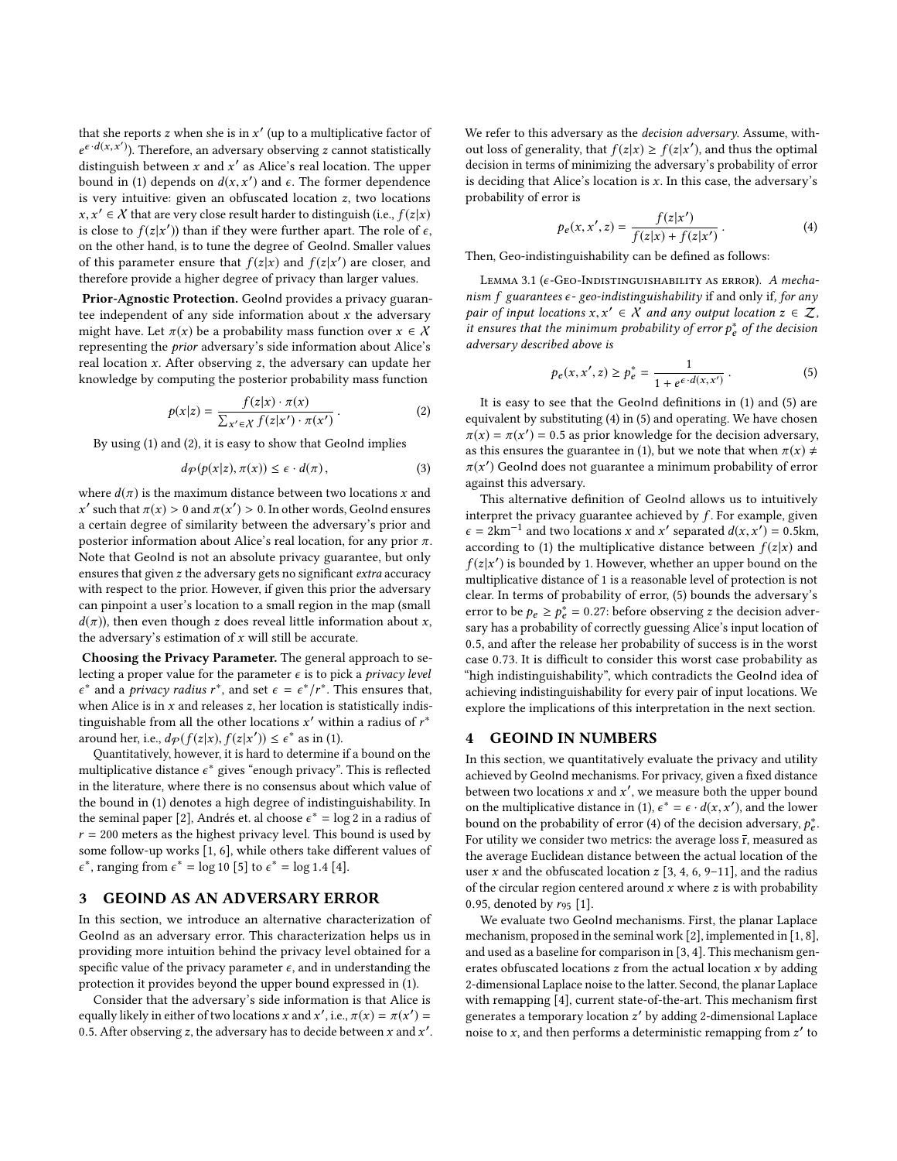that she reports z when she is in  $x'$  (up to a multiplicative factor of  $e^{x}d(x,x')$ ). Therefore, an educatory observing z sound statistically distinguish between x and x' as Alice's real location. The upper<br>hound in (1) denonds on  $d(x, x')$  and c. The former denondence  $\epsilon \cdot d(x, x')$ . Therefore, an adversary observing z cannot statistically bound in [\(1\)](#page-0-0) depends on  $d(x, x')$  and  $\epsilon$ . The former dependence<br>is very intuitive: given an obfuscated location z, two locations is very intuitive: given an obfuscated location z, two locations is close to  $f(z|x')$ ) than if they were further apart. The role of  $\varepsilon$ ,<br>on the other hand, is to tune the degree of Goolad. Smaller values  $x, x' \in \mathcal{X}$  that are very close result harder to distinguish (i.e.,  $f(z|x)$ ) on the other hand, is to tune the degree of GeoInd. Smaller values of this parameter ensure that  $f(z|x)$  and  $f(z|x')$  are closer, and<br>therefore provide a higher degree of privacy than larger values therefore provide a higher degree of privacy than larger values.

Prior-Agnostic Protection. GeoInd provides a privacy guarantee independent of any side information about  $x$  the adversary might have. Let  $\pi(x)$  be a probability mass function over  $x \in \mathcal{X}$ representing the prior adversary's side information about Alice's real location  $x$ . After observing  $z$ , the adversary can update her knowledge by computing the posterior probability mass function

<span id="page-1-0"></span>
$$
p(x|z) = \frac{f(z|x) \cdot \pi(x)}{\sum_{x' \in \mathcal{X}} f(z|x') \cdot \pi(x')}.
$$
 (2)

By using [\(1\)](#page-0-0) and [\(2\)](#page-1-0), it is easy to show that GeoInd implies

$$
d_{\mathcal{P}}(p(x|z), \pi(x)) \le \epsilon \cdot d(\pi), \tag{3}
$$

where  $d(\pi)$  is the maximum distance between two locations x and a certain degree of similarity between the adversary's prior and ' such that  $π(x) > 0$  and  $π(x') > 0$ . In other words, GeoInd ensures<br>certain degree of similarity between the adversary's prior and posterior information about Alice's real location, for any prior  $\pi$ . Note that GeoInd is not an absolute privacy guarantee, but only ensures that given z the adversary gets no significant extra accuracy with respect to the prior. However, if given this prior the adversary can pinpoint a user's location to a small region in the map (small  $d(\pi)$ , then even though z does reveal little information about x, the adversary's estimation of  $x$  will still be accurate.

Choosing the Privacy Parameter. The general approach to selecting a proper value for the parameter  $\epsilon$  is to pick a *privacy level* when Alice is in x and releases z, her location is statistically indis-<br>tinguishable from all the other locations  $x'$  within a radius of  $r^*$ . \* and a *privacy radius*  $r^*$ , and set  $\epsilon = \epsilon^*/r^*$ . This ensures that, tinguishable from all the other locations x' within a radius of  $r^*$ <br>around her i.e.  $d_{\Omega}(f(z|x)) f(z|x')) \leq \epsilon^*$  as in (1) around her, i.e.,  $d_p(f(z|x), f(z|x')) \le \epsilon^*$  as in [\(1\)](#page-0-0).<br>Quantitatively however it is hard to determine

Quantitatively, however, it is hard to determine if a bound on the multiplicative distance  $\epsilon^*$  gives "enough privacy". This is reflected<br>in the literature, where there is no consensus about which value of in the literature, where there is no consensus about which value of the bound in [\(1\)](#page-0-0) denotes a high degree of indistinguishability. In the seminal paper [\[2\]](#page-3-0), Andrés et. al choose  $\varepsilon^* = \log 2$  in a radius of  $r = 200$  meters as the bighest privacy level. This bound is used by  $r = 200$  meters as the highest privacy level. This bound is used by some follow-up works [\[1,](#page-3-10) [6\]](#page-3-4), while others take different values of \*, ranging from  $\epsilon^* = \log 10$  [\[5\]](#page-3-2) to  $\epsilon^* = \log 1.4$  [\[4\]](#page-3-8).

#### 3 GEOIND AS AN ADVERSARY ERROR

In this section, we introduce an alternative characterization of GeoInd as an adversary error. This characterization helps us in providing more intuition behind the privacy level obtained for a specific value of the privacy parameter  $\epsilon$ , and in understanding the protection it provides beyond the upper bound expressed in [\(1\)](#page-0-0).

Consider that the adversary's side information is that Alice is equally likely in either of two locations x and x', i.e.,  $\pi(x) = \pi(x') = 0.5$ . After observing z the adversary has to decide between x and x'. 0.5. After observing z, the adversary has to decide between x and  $x'$ . We refer to this adversary as the decision adversary. Assume, without loss of generality, that  $f(z|x) \ge f(z|x')$ , and thus the optimal decision in terms of minimizing the adversary's probability of error decision in terms of minimizing the adversary's probability of error is deciding that Alice's location is  $x$ . In this case, the adversary's probability of error is

<span id="page-1-2"></span>
$$
p_e(x, x', z) = \frac{f(z|x')}{f(z|x) + f(z|x')}.
$$
\nThen, Geo-indistinguishability can be defined as follows:

LEMMA 3.1 ( $\epsilon$ -Geo-Indistinguishability as error). A mechanism  $f$  guarantees  $\epsilon$ -geo-indistinguishability if and only if, for any pair of input locations  $x, x' \in X$  and any output location  $z \in \mathcal{Z}$ ,<br>it ensures that the minimum probability of error  $p^*$  of the decision it ensures that the minimum probability of error  $p_e^*$  of the decision<br>adversary described above is adversary described above is

<span id="page-1-1"></span>
$$
p_e(x, x', z) \ge p_e^* = \frac{1}{1 + e^{\epsilon} \cdot d(x, x')} \,. \tag{5}
$$
 It is easy to see that the Geolnd definitions in (1) and (5) are

equivalent by substituting [\(4\)](#page-1-2) in [\(5\)](#page-1-1) and operating. We have chosen  $\pi(x) = \pi(x') = 0.5$  as prior knowledge for the decision adversary,<br>as this ensures the guarantee in (1) but we note that when  $\pi(x) \neq$ as this ensures the guarantee in [\(1\)](#page-0-0), but we note that when  $\pi(x) \neq$  $\pi(x')$  GeoInd does not guarantee a minimum probability of error<br>against this adversary against this adversary.

This alternative definition of GeoInd allows us to intuitively interpret the privacy guarantee achieved by  $f$ . For example, given  $\epsilon = 2 \text{km}^{-1}$  and two locations x and x' separated  $d(x, x') = 0.5 \text{km}$ , according to (1) the multiplicative distance between  $f(z|x)$  and according to [\(1\)](#page-0-0) the multiplicative distance between  $f(z|x)$  and  $f(z|x')$  is bounded by 1. However, whether an upper bound on the multiplicative distance of 1 is a reasonable level of protection is not multiplicative distance of 1 is a reasonable level of protection is not clear. In terms of probability of error, [\(5\)](#page-1-1) bounds the adversary's error to be  $p_e \ge p_e^* = 0.27$ : before observing z the decision adversary has a probability of correctly guessing Alice's input location of sary has a probability of correctly guessing Alice's input location of <sup>0</sup>.5, and after the release her probability of success is in the worst case <sup>0</sup>.73. It is difficult to consider this worst case probability as "high indistinguishability", which contradicts the GeoInd idea of achieving indistinguishability for every pair of input locations. We explore the implications of this interpretation in the next section.

# 4 GEOIND IN NUMBERS

In this section, we quantitatively evaluate the privacy and utility achieved by GeoInd mechanisms. For privacy, given a fixed distance between two locations x and x', we measure both the upper bound<br>on the multiplicative distance in (1)  $c^* = c$ ,  $d(x, x')$  and the lower on the multiplicative distance in [\(1\)](#page-0-0),  $\epsilon^* = \epsilon \cdot d(x, x')$ , and the lower hound on the probability of error (4) of the decision adversary  $\mathbf{a}^*$ bound on the probability of error [\(4\)](#page-1-2) of the decision adversary,  $p_e^*$ .<br>For utility we consider two metrics: the average loss  $\bar{r}$  measured as For utility we consider two metrics: the average loss <del>r</del>, measured as the average Euclidean distance between the actual location of the user x and the obfuscated location  $z$  [\[3,](#page-3-7) [4,](#page-3-8) [6,](#page-3-4) [9](#page-3-5)[–11\]](#page-3-6), and the radius of the circular region centered around  $x$  where  $z$  is with probability 0.95, denoted by  $r_{95}$  [\[1\]](#page-3-10).

We evaluate two GeoInd mechanisms. First, the planar Laplace mechanism, proposed in the seminal work [\[2\]](#page-3-0), implemented in [\[1,](#page-3-10) [8\]](#page-3-9), and used as a baseline for comparison in [\[3,](#page-3-7) [4\]](#page-3-8). This mechanism generates obfuscated locations  $z$  from the actual location  $x$  by adding 2-dimensional Laplace noise to the latter. Second, the planar Laplace with remapping [\[4\]](#page-3-8), current state-of-the-art. This mechanism first generates a temporary location z' by adding 2-dimensional Laplace<br>noise to x, and then performs a deterministic remanning from z' to noise to x, and then performs a deterministic remapping from  $z'$  to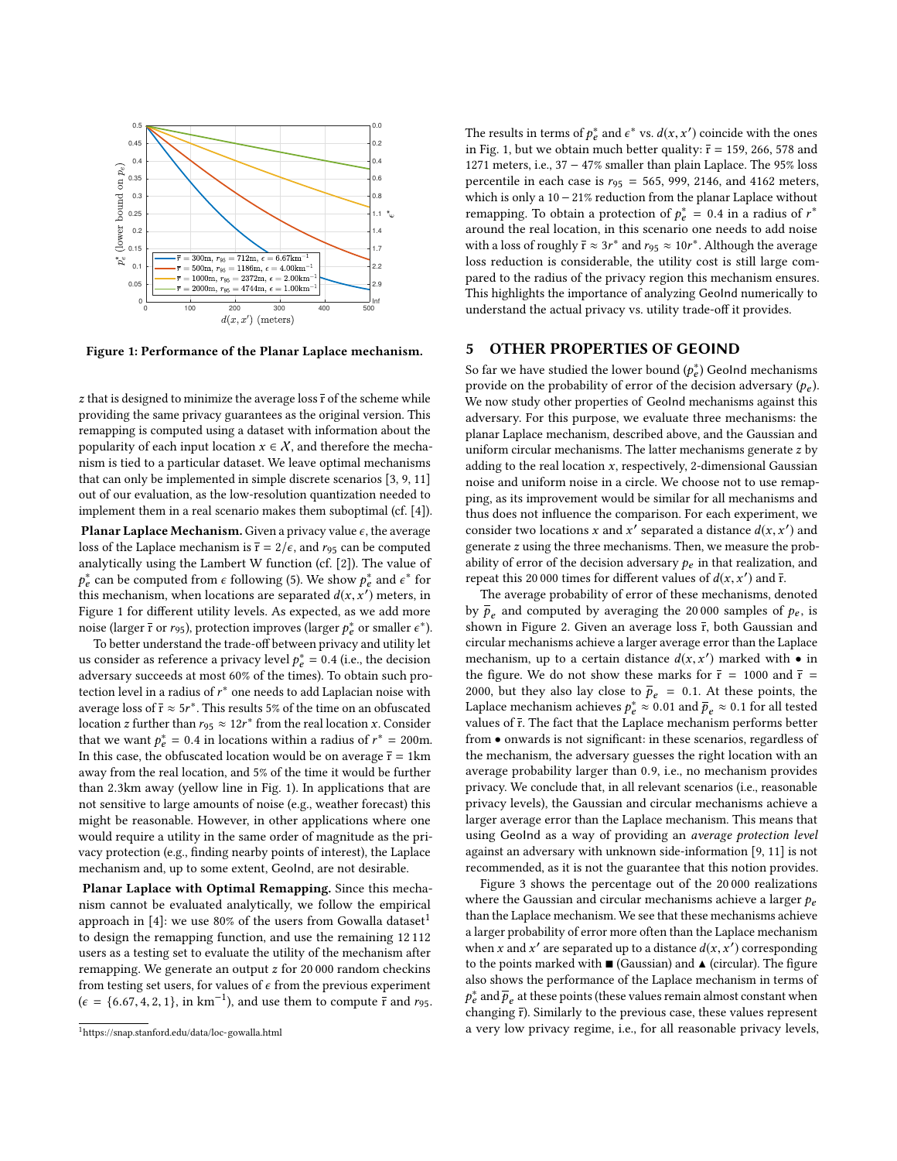<span id="page-2-0"></span>

Figure 1: Performance of the Planar Laplace mechanism.

 $z$  that is designed to minimize the average loss  $\overline{r}$  of the scheme while providing the same privacy guarantees as the original version. This remapping is computed using a dataset with information about the popularity of each input location  $x \in \mathcal{X}$ , and therefore the mechanism is tied to a particular dataset. We leave optimal mechanisms that can only be implemented in simple discrete scenarios [\[3,](#page-3-7) [9,](#page-3-5) [11\]](#page-3-6) out of our evaluation, as the low-resolution quantization needed to implement them in a real scenario makes them suboptimal (cf. [\[4\]](#page-3-8)).

Planar Laplace Mechanism. Given a privacy value  $\epsilon$ , the average loss of the Laplace mechanism is  $\bar{r} = 2/\epsilon$ , and  $r_{95}$  can be computed analytically using the Lambert W function (cf. [\[2\]](#page-3-0)). The value of Fe is mechanism, when locations are separated  $d(x, x')$  meters, in<br>Figure 1 for different utility layels. As expected as we add more <sup>\*</sup> can be computed from  $\epsilon$  following [\(5\)](#page-1-1). We show  $p_{\epsilon}^{*}$  and  $\epsilon^{*}$  for this mechanism when locations are separated  $d(x, x')$  meters in Figure [1](#page-2-0) for different utility levels. As expected, as we add more noise (larger  $\bar{r}$  or  $r_{95}$ ), protection improves (larger  $p_e^*$  or smaller  $\epsilon^*$ ).<br>To better understand the trade-off between privacy and utility let

To better understand the trade-off between privacy and utility let us consider as reference a privacy level  $p_e^* = 0.4$  (i.e., the decision adversary succeeds at most 60% of the times). To obtain such proadversary succeeds at most 60% of the times). To obtain such protection level in a radius of  $r^*$  one needs to add Laplacian noise with vertical loss of  $\bar{r} \sim 5r^*$ . This results  $5\%$  of the time on an obfuscated average loss of  $\bar{r} \approx 5r^*$ . This results 5% of the time on an obfuscated<br>location  $\tau$  further than  $r \propto 12r^*$  from the real location  $\tau$ . Consider location z further than  $r_{95} \approx 12r^*$  from the real location x. Consider that we want  $r^* = 0.4$  in locations within a radius of  $r^* = 200$ m that we want  $p_e^* = 0.4$  in locations within a radius of  $r^* = 200$ m.<br>In this case, the obfuscated location would be on average  $\bar{r} = 1$  km In this case, the obfuscated location would be on average  $\bar{r} = 1 \text{km}$ away from the real location, and 5% of the time it would be further than <sup>2</sup>.3km away (yellow line in Fig. [1\)](#page-2-0). In applications that are not sensitive to large amounts of noise (e.g., weather forecast) this might be reasonable. However, in other applications where one would require a utility in the same order of magnitude as the privacy protection (e.g., finding nearby points of interest), the Laplace mechanism and, up to some extent, GeoInd, are not desirable.

Planar Laplace with Optimal Remapping. Since this mechanism cannot be evaluated analytically, we follow the empirical approach in [\[4\]](#page-3-8): we use 80% of the users from Gowalla dataset<sup>[1](#page-2-1)</sup> to design the remapping function, and use the remaining 12 112 users as a testing set to evaluate the utility of the mechanism after remapping. We generate an output z for 20 000 random checkins from testing set users, for values of  $\epsilon$  from the previous experiment  $(\epsilon = \{6.67, 4, 2, 1\}, \text{ in km}^{-1})$ , and use them to compute  $\frac{1}{r}$  and  $r_{95}$ .

The results in terms of  $p_e^*$  and  $\epsilon^*$  vs.  $d(x, x')$  coincide with the ones<br>in Fig. 1, but we obtain much better quality:  $\bar{r}$  = 159, 266, 578 and in Fig. [1,](#page-2-0) but we obtain much better quality:  $\bar{r}$  = 159, 266, 578 and 1271 meters, i.e., 37 − 47% smaller than plain Laplace. The 95% loss percentile in each case is  $r_{95} = 565$ , 999, 2146, and 4162 meters, which is only a 10 − 21% reduction from the planar Laplace without remapping. To obtain a protection of  $p_e^* = 0.4$  in a radius of  $r^*$ <br>around the real location, in this scenario one needs to add noise around the real location, in this scenario one needs to add noise with a loss of roughly  $\bar{r} \approx 3r^*$  and  $r_{95} \approx 10r^*$ . Although the average loss reduction is considerable, the utility cost is still large comloss reduction is considerable, the utility cost is still large compared to the radius of the privacy region this mechanism ensures. This highlights the importance of analyzing GeoInd numerically to understand the actual privacy vs. utility trade-off it provides.

#### 5 OTHER PROPERTIES OF GEOIND

So far we have studied the lower bound  $(p_e^*)$  GeoInd mechanisms<br>provide on the probability of error of the decision adversary (p.) provide on the probability of error of the decision adversary  $(p_e)$ .<br>We now study other properties of Goolnd mechanisms against this We now study other properties of GeoInd mechanisms against this adversary. For this purpose, we evaluate three mechanisms: the planar Laplace mechanism, described above, and the Gaussian and uniform circular mechanisms. The latter mechanisms generate z by adding to the real location  $x$ , respectively, 2-dimensional Gaussian noise and uniform noise in a circle. We choose not to use remapping, as its improvement would be similar for all mechanisms and thus does not influence the comparison. For each experiment, we consider two locations x and x' separated a distance  $d(x, x')$  and<br>generate z using the three mechanisms. Then we measure the probgenerate z using the three mechanisms. Then, we measure the probability of error of the decision adversary  $p_e$  in that realization, and repeat this 20 000 times for different values of  $d(x, x')$  and  $\overline{r}$ .<br>The average probability of error of these mechanisms, de

The average probability of error of these mechanisms, denoted by  $\bar{p}_e$  and computed by averaging the 20 000 samples of  $p_e$ , is<br>shown in Figure 2. Given an average loss  $\bar{r}$  both Gaussian and shown in Figure [2.](#page-3-11) Given an average loss  $\bar{r}$ , both Gaussian and circular mechanisms achieve a larger average error than the Laplace mechanism, up to a certain distance  $d(x, x')$  marked with • in<br>the figure. We do not show these marks for  $\bar{x} = 1000$  and  $\bar{r} =$ the figure. We do not show these marks for  $\bar{r}$  = 1000 and  $\bar{r}$  = 2000, but they also lay close to  $\bar{p}_e = 0.1$ . At these points, the Laplace mechanism achieves  $p_e^* \approx 0.01$  and  $\bar{p}_e \approx 0.1$  for all tested values of  $\bar{r}$ . The fact that the Laplace mechanism performs better values of  $\overline{r}$ . The fact that the Laplace mechanism performs better from • onwards is not significant: in these scenarios, regardless of the mechanism, the adversary guesses the right location with an average probability larger than <sup>0</sup>.9, i.e., no mechanism provides privacy. We conclude that, in all relevant scenarios (i.e., reasonable privacy levels), the Gaussian and circular mechanisms achieve a larger average error than the Laplace mechanism. This means that using GeoInd as a way of providing an *average protection level* against an adversary with unknown side-information [\[9,](#page-3-5) [11\]](#page-3-6) is not recommended, as it is not the guarantee that this notion provides.

Figure [3](#page-3-11) shows the percentage out of the 20 000 realizations where the Gaussian and circular mechanisms achieve a larger  $p_e$ than the Laplace mechanism. We see that these mechanisms achieve a larger probability of error more often than the Laplace mechanism when x and x' are separated up to a distance  $d(x, x')$  corresponding<br>to the points marked with  $\blacksquare$  (Gaussian) and  $\blacktriangle$  (circular). The figure to the points marked with  $\blacksquare$  (Gaussian) and  $\blacktriangle$  (circular). The figure also shows the performance of the Laplace mechanism in terms of  $p_{\ell}$  and  $p_{\ell}$  in the set  $p_{\ell}$  cannot constant the previous case, these values represent  $\vec{p}_e$  and  $\vec{p}_e$  at these points (these values remain almost constant when<br>hanging  $\vec{r}$ ). Similarly to the previous case, these values represent a very low privacy regime, i.e., for all reasonable privacy levels,

<span id="page-2-1"></span><sup>1</sup><https://snap.stanford.edu/data/loc-gowalla.html>